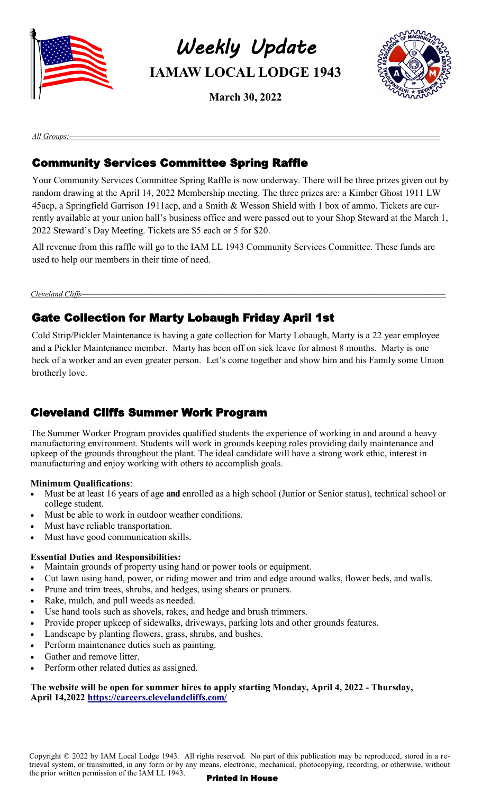

*Weekly Update*  **IAMAW LOCAL LODGE 1943**

**March 30, 2022**



*All Groups:—————————————————————————————————————————————————————*

# Community Services Committee Spring Raffle

Your Community Services Committee Spring Raffle is now underway. There will be three prizes given out by random drawing at the April 14, 2022 Membership meeting. The three prizes are: a Kimber Ghost 1911 LW 45acp, a Springfield Garrison 1911acp, and a Smith & Wesson Shield with 1 box of ammo. Tickets are currently available at your union hall's business office and were passed out to your Shop Steward at the March 1, 2022 Steward's Day Meeting. Tickets are \$5 each or 5 for \$20.

All revenue from this raffle will go to the IAM LL 1943 Community Services Committee. These funds are used to help our members in their time of need.

Cleveland Cliffs-

# Gate Collection for Marty Lobaugh Friday April 1st

Cold Strip/Pickler Maintenance is having a gate collection for Marty Lobaugh, Marty is a 22 year employee and a Pickler Maintenance member. Marty has been off on sick leave for almost 8 months. Marty is one heck of a worker and an even greater person. Let's come together and show him and his Family some Union brotherly love.

# Cleveland Cliffs Summer Work Program

The Summer Worker Program provides qualified students the experience of working in and around a heavy manufacturing environment. Students will work in grounds keeping roles providing daily maintenance and upkeep of the grounds throughout the plant. The ideal candidate will have a strong work ethic, interest in manufacturing and enjoy working with others to accomplish goals.

#### **Minimum Qualifications**:

- Must be at least 16 years of age **and** enrolled as a high school (Junior or Senior status), technical school or college student.
- Must be able to work in outdoor weather conditions.
- Must have reliable transportation.
- Must have good communication skills.

#### **Essential Duties and Responsibilities:**

- Maintain grounds of property using hand or power tools or equipment.
- Cut lawn using hand, power, or riding mower and trim and edge around walks, flower beds, and walls.
- Prune and trim trees, shrubs, and hedges, using shears or pruners.
- Rake, mulch, and pull weeds as needed.
- Use hand tools such as shovels, rakes, and hedge and brush trimmers.
- Provide proper upkeep of sidewalks, driveways, parking lots and other grounds features.
- Landscape by planting flowers, grass, shrubs, and bushes.
- Perform maintenance duties such as painting.
- Gather and remove litter.
- Perform other related duties as assigned.

#### **The website will be open for summer hires to apply starting Monday, April 4, 2022 - Thursday, April 14,2022<https://careers.clevelandcliffs.com/>**

Copyright © 2022 by IAM Local Lodge 1943. All rights reserved. No part of this publication may be reproduced, stored in a retrieval system, or transmitted, in any form or by any means, electronic, mechanical, photocopying, recording, or otherwise, without the prior written permission of the IAM LL  $1943$ . Printed in House